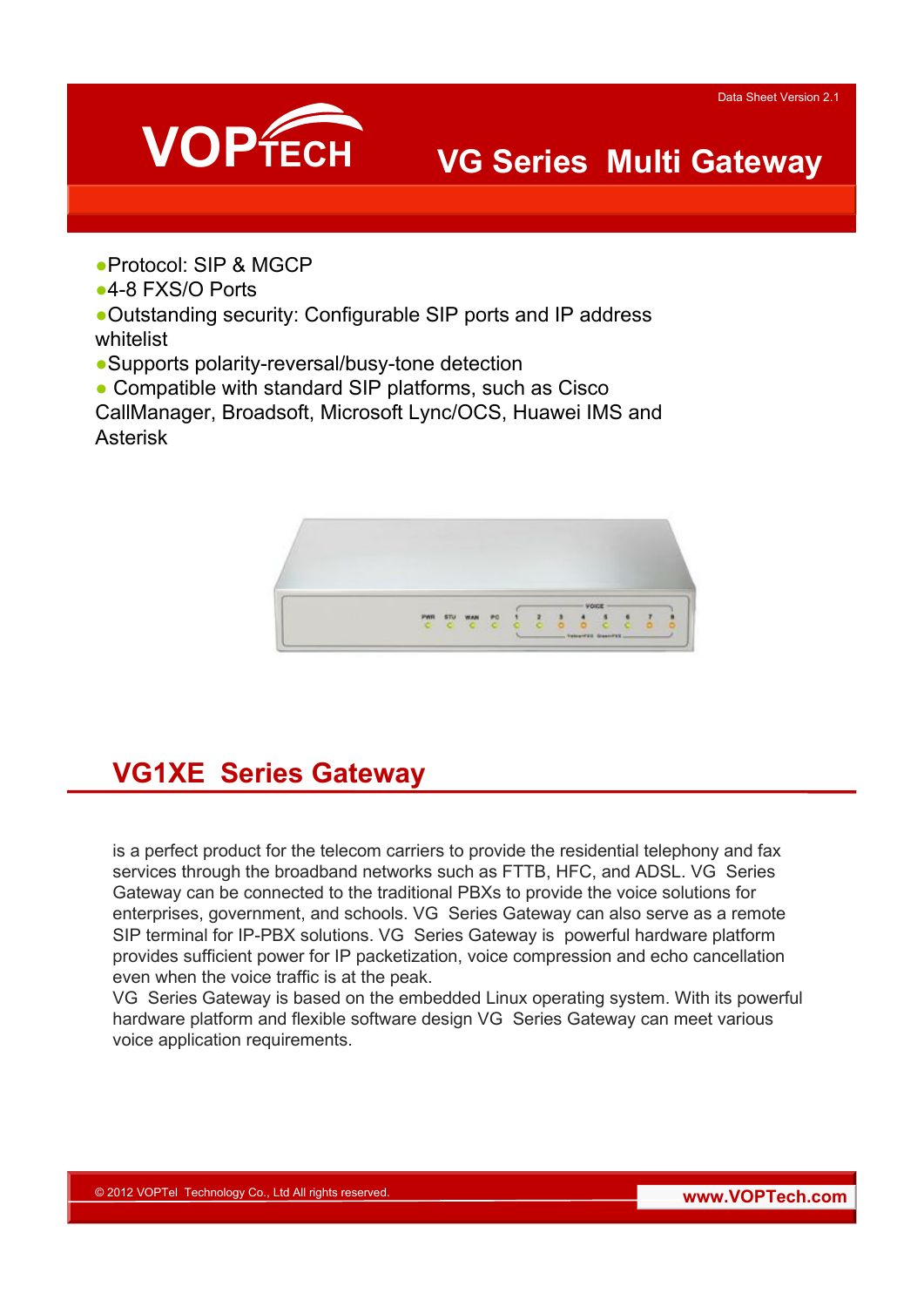

## **VG Series Multi Gateway**

●Protocol: SIP & MGCP

●4-8 FXS/O Ports

●Outstanding security: Configurable SIP ports and IP address whitelist

●Supports polarity-reversal/busy-tone detection

• Compatible with standard SIP platforms, such as Cisco

CallManager, Broadsoft, Microsoft Lync/OCS, Huawei IMS and Asterisk



### **VG1XE Series Gateway**

is a perfect product for the telecom carriers to provide the residential telephony and fax services through the broadband networks such as FTTB, HFC, and ADSL. VG Series Gateway can be connected to the traditional PBXs to provide the voice solutions for enterprises, government, and schools. VG Series Gateway can also serve as a remote SIP terminal for IP-PBX solutions. VG Series Gateway is powerful hardware platform provides sufficient power for IP packetization, voice compression and echo cancellation even when the voice traffic is at the peak.

VG Series Gateway is based on the embedded Linux operating system. With its powerful hardware platform and flexible software design VG Series Gateway can meet various voice application requirements.